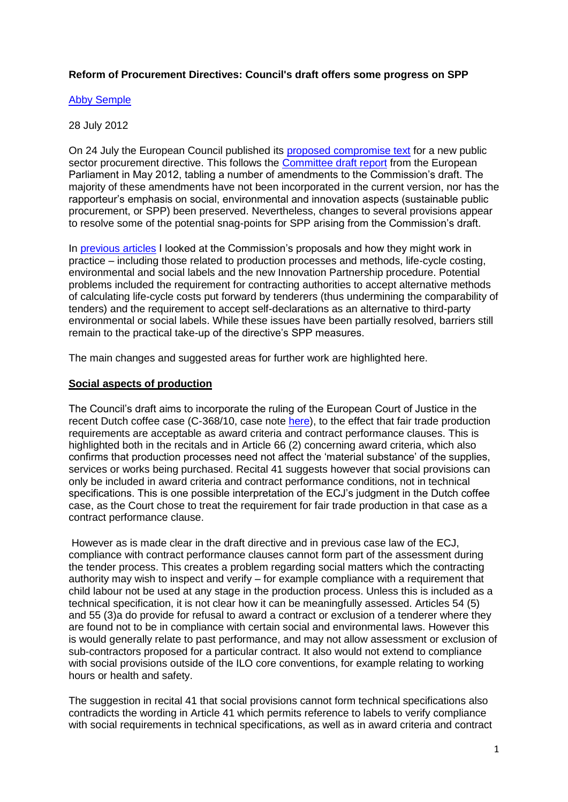# **Reform of Procurement Directives: Council's draft offers some progress on SPP**

### [Abby Semple](http://www.procurementanalysis.eu/)

### 28 July 2012

On 24 July the European Council published its [proposed compromise text](http://register.consilium.europa.eu/pdf/en/12/st12/st12878.en12.pdf) for a new public sector procurement directive. This follows the [Committee draft report](http://www.europarl.europa.eu/document/activities/cont/201205/20120521ATT45494/20120521ATT45494EN.pdf) from the European Parliament in May 2012, tabling a number of amendments to the Commission's draft. The majority of these amendments have not been incorporated in the current version, nor has the rapporteur's emphasis on social, environmental and innovation aspects (sustainable public procurement, or SPP) been preserved. Nevertheless, changes to several provisions appear to resolve some of the potential snag-points for SPP arising from the Commission's draft.

In [previous articles](http://www.sustainable-procurement.org/newsroom/special-features/#c312) I looked at the Commission's proposals and how they might work in practice – including those related to production processes and methods, life-cycle costing, environmental and social labels and the new Innovation Partnership procedure. Potential problems included the requirement for contracting authorities to accept alternative methods of calculating life-cycle costs put forward by tenderers (thus undermining the comparability of tenders) and the requirement to accept self-declarations as an alternative to third-party environmental or social labels. While these issues have been partially resolved, barriers still remain to the practical take-up of the directive's SPP measures.

The main changes and suggested areas for further work are highlighted here.

# **Social aspects of production**

The Council's draft aims to incorporate the ruling of the European Court of Justice in the recent Dutch coffee case (C-368/10, case note [here\)](http://www.procurementanalysis.eu/resources/Case+Note_Commission+v+Netherlands_Semple.pdf), to the effect that fair trade production requirements are acceptable as award criteria and contract performance clauses. This is highlighted both in the recitals and in Article 66 (2) concerning award criteria, which also confirms that production processes need not affect the 'material substance' of the supplies, services or works being purchased. Recital 41 suggests however that social provisions can only be included in award criteria and contract performance conditions, not in technical specifications. This is one possible interpretation of the ECJ's judgment in the Dutch coffee case, as the Court chose to treat the requirement for fair trade production in that case as a contract performance clause.

However as is made clear in the draft directive and in previous case law of the ECJ, compliance with contract performance clauses cannot form part of the assessment during the tender process. This creates a problem regarding social matters which the contracting authority may wish to inspect and verify – for example compliance with a requirement that child labour not be used at any stage in the production process. Unless this is included as a technical specification, it is not clear how it can be meaningfully assessed. Articles 54 (5) and 55 (3)a do provide for refusal to award a contract or exclusion of a tenderer where they are found not to be in compliance with certain social and environmental laws. However this is would generally relate to past performance, and may not allow assessment or exclusion of sub-contractors proposed for a particular contract. It also would not extend to compliance with social provisions outside of the ILO core conventions, for example relating to working hours or health and safety.

The suggestion in recital 41 that social provisions cannot form technical specifications also contradicts the wording in Article 41 which permits reference to labels to verify compliance with social requirements in technical specifications, as well as in award criteria and contract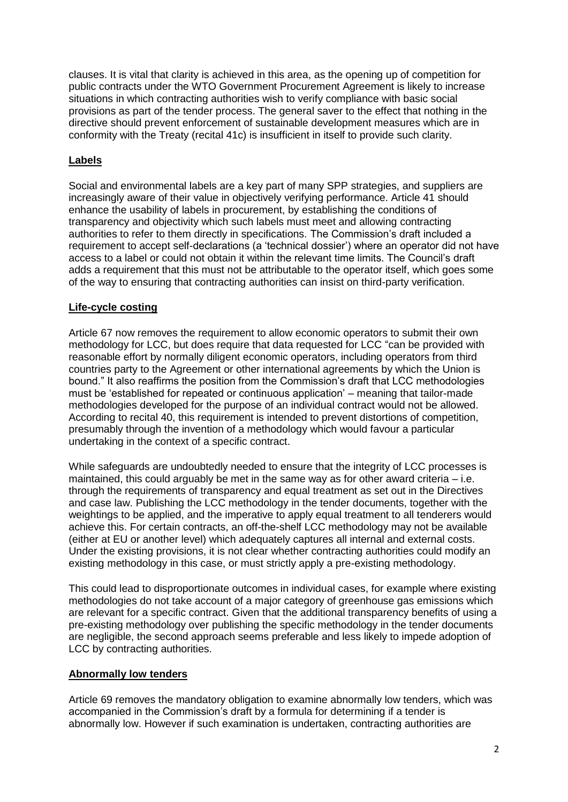clauses. It is vital that clarity is achieved in this area, as the opening up of competition for public contracts under the WTO Government Procurement Agreement is likely to increase situations in which contracting authorities wish to verify compliance with basic social provisions as part of the tender process. The general saver to the effect that nothing in the directive should prevent enforcement of sustainable development measures which are in conformity with the Treaty (recital 41c) is insufficient in itself to provide such clarity.

# **Labels**

Social and environmental labels are a key part of many SPP strategies, and suppliers are increasingly aware of their value in objectively verifying performance. Article 41 should enhance the usability of labels in procurement, by establishing the conditions of transparency and objectivity which such labels must meet and allowing contracting authorities to refer to them directly in specifications. The Commission's draft included a requirement to accept self-declarations (a 'technical dossier') where an operator did not have access to a label or could not obtain it within the relevant time limits. The Council's draft adds a requirement that this must not be attributable to the operator itself, which goes some of the way to ensuring that contracting authorities can insist on third-party verification.

# **Life-cycle costing**

Article 67 now removes the requirement to allow economic operators to submit their own methodology for LCC, but does require that data requested for LCC "can be provided with reasonable effort by normally diligent economic operators, including operators from third countries party to the Agreement or other international agreements by which the Union is bound." It also reaffirms the position from the Commission's draft that LCC methodologies must be 'established for repeated or continuous application' – meaning that tailor-made methodologies developed for the purpose of an individual contract would not be allowed. According to recital 40, this requirement is intended to prevent distortions of competition, presumably through the invention of a methodology which would favour a particular undertaking in the context of a specific contract.

While safeguards are undoubtedly needed to ensure that the integrity of LCC processes is maintained, this could arguably be met in the same way as for other award criteria  $-$  i.e. through the requirements of transparency and equal treatment as set out in the Directives and case law. Publishing the LCC methodology in the tender documents, together with the weightings to be applied, and the imperative to apply equal treatment to all tenderers would achieve this. For certain contracts, an off-the-shelf LCC methodology may not be available (either at EU or another level) which adequately captures all internal and external costs. Under the existing provisions, it is not clear whether contracting authorities could modify an existing methodology in this case, or must strictly apply a pre-existing methodology.

This could lead to disproportionate outcomes in individual cases, for example where existing methodologies do not take account of a major category of greenhouse gas emissions which are relevant for a specific contract. Given that the additional transparency benefits of using a pre-existing methodology over publishing the specific methodology in the tender documents are negligible, the second approach seems preferable and less likely to impede adoption of LCC by contracting authorities.

# **Abnormally low tenders**

Article 69 removes the mandatory obligation to examine abnormally low tenders, which was accompanied in the Commission's draft by a formula for determining if a tender is abnormally low. However if such examination is undertaken, contracting authorities are